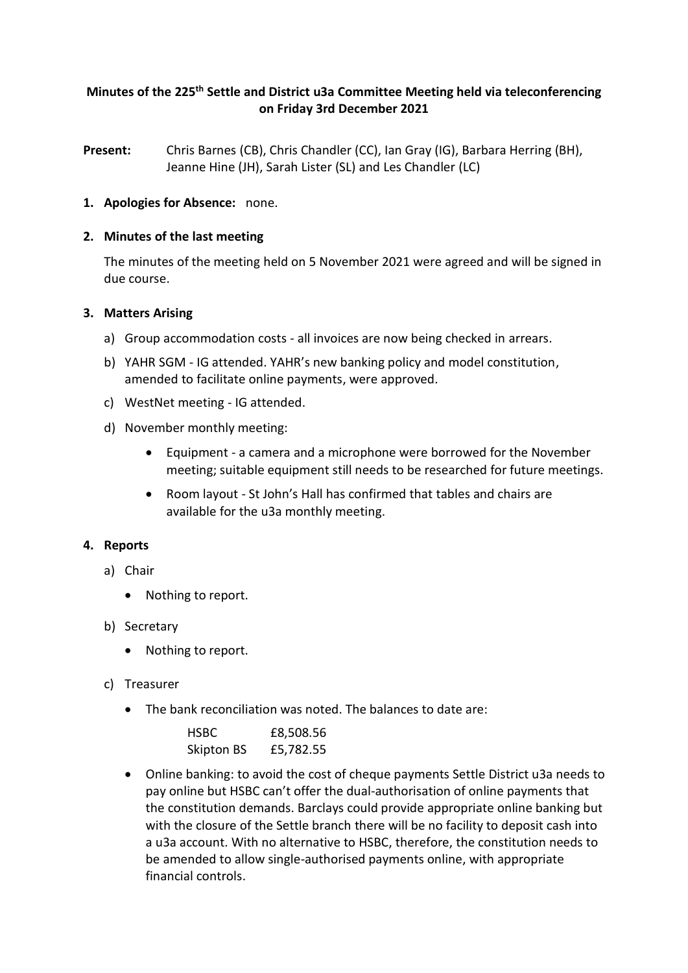# **Minutes of the 225 th Settle and District u3a Committee Meeting held via teleconferencing on Friday 3rd December 2021**

**Present:** Chris Barnes (CB), Chris Chandler (CC), Ian Gray (IG), Barbara Herring (BH), Jeanne Hine (JH), Sarah Lister (SL) and Les Chandler (LC)

## **1. Apologies for Absence:** none.

### **2. Minutes of the last meeting**

The minutes of the meeting held on 5 November 2021 were agreed and will be signed in due course.

## **3. Matters Arising**

- a) Group accommodation costs all invoices are now being checked in arrears.
- b) YAHR SGM IG attended. YAHR's new banking policy and model constitution, amended to facilitate online payments, were approved.
- c) WestNet meeting IG attended.
- d) November monthly meeting:
	- Equipment a camera and a microphone were borrowed for the November meeting; suitable equipment still needs to be researched for future meetings.
	- Room layout St John's Hall has confirmed that tables and chairs are available for the u3a monthly meeting.

#### **4. Reports**

- a) Chair
	- Nothing to report.
- b) Secretary
	- Nothing to report.
- c) Treasurer
	- The bank reconciliation was noted. The balances to date are:

| <b>HSBC</b> | £8,508.56 |
|-------------|-----------|
| Skipton BS  | £5,782.55 |

• Online banking: to avoid the cost of cheque payments Settle District u3a needs to pay online but HSBC can't offer the dual-authorisation of online payments that the constitution demands. Barclays could provide appropriate online banking but with the closure of the Settle branch there will be no facility to deposit cash into a u3a account. With no alternative to HSBC, therefore, the constitution needs to be amended to allow single-authorised payments online, with appropriate financial controls.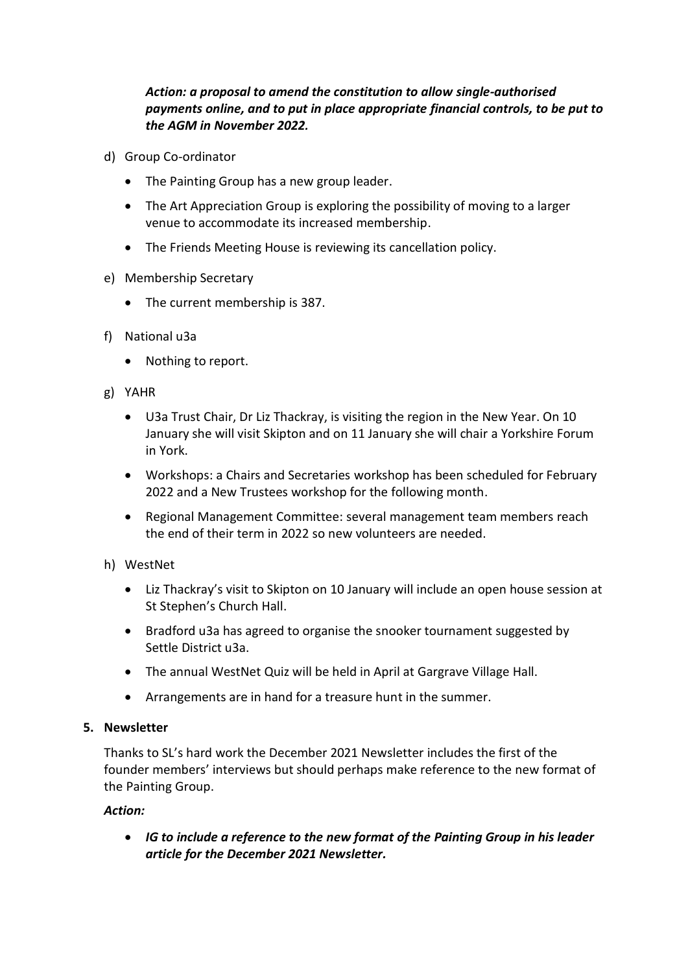# *Action: a proposal to amend the constitution to allow single-authorised payments online, and to put in place appropriate financial controls, to be put to the AGM in November 2022.*

- d) Group Co-ordinator
	- The Painting Group has a new group leader.
	- The Art Appreciation Group is exploring the possibility of moving to a larger venue to accommodate its increased membership.
	- The Friends Meeting House is reviewing its cancellation policy.
- e) Membership Secretary
	- The current membership is 387.
- f) National u3a
	- Nothing to report.
- g) YAHR
	- U3a Trust Chair, Dr Liz Thackray, is visiting the region in the New Year. On 10 January she will visit Skipton and on 11 January she will chair a Yorkshire Forum in York.
	- Workshops: a Chairs and Secretaries workshop has been scheduled for February 2022 and a New Trustees workshop for the following month.
	- Regional Management Committee: several management team members reach the end of their term in 2022 so new volunteers are needed.

#### h) WestNet

- Liz Thackray's visit to Skipton on 10 January will include an open house session at St Stephen's Church Hall.
- Bradford u3a has agreed to organise the snooker tournament suggested by Settle District u3a.
- The annual WestNet Quiz will be held in April at Gargrave Village Hall.
- Arrangements are in hand for a treasure hunt in the summer.

#### **5. Newsletter**

Thanks to SL's hard work the December 2021 Newsletter includes the first of the founder members' interviews but should perhaps make reference to the new format of the Painting Group.

#### *Action:*

• *IG to include a reference to the new format of the Painting Group in his leader article for the December 2021 Newsletter.*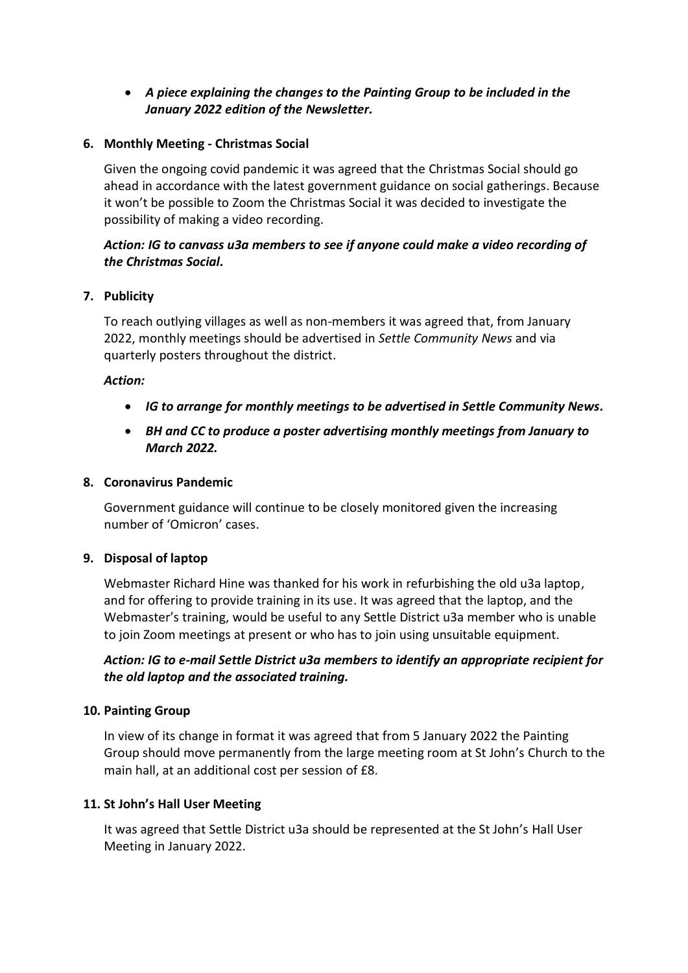# • *A piece explaining the changes to the Painting Group to be included in the January 2022 edition of the Newsletter.*

## **6. Monthly Meeting - Christmas Social**

Given the ongoing covid pandemic it was agreed that the Christmas Social should go ahead in accordance with the latest government guidance on social gatherings. Because it won't be possible to Zoom the Christmas Social it was decided to investigate the possibility of making a video recording.

# *Action: IG to canvass u3a members to see if anyone could make a video recording of the Christmas Social.*

## **7. Publicity**

To reach outlying villages as well as non-members it was agreed that, from January 2022, monthly meetings should be advertised in *Settle Community News* and via quarterly posters throughout the district.

#### *Action:*

- *IG to arrange for monthly meetings to be advertised in Settle Community News.*
- *BH and CC to produce a poster advertising monthly meetings from January to March 2022.*

## **8. Coronavirus Pandemic**

Government guidance will continue to be closely monitored given the increasing number of 'Omicron' cases.

#### **9. Disposal of laptop**

Webmaster Richard Hine was thanked for his work in refurbishing the old u3a laptop, and for offering to provide training in its use. It was agreed that the laptop, and the Webmaster's training, would be useful to any Settle District u3a member who is unable to join Zoom meetings at present or who has to join using unsuitable equipment.

## *Action: IG to e-mail Settle District u3a members to identify an appropriate recipient for the old laptop and the associated training.*

#### **10. Painting Group**

In view of its change in format it was agreed that from 5 January 2022 the Painting Group should move permanently from the large meeting room at St John's Church to the main hall, at an additional cost per session of £8.

#### **11. St John's Hall User Meeting**

It was agreed that Settle District u3a should be represented at the St John's Hall User Meeting in January 2022.